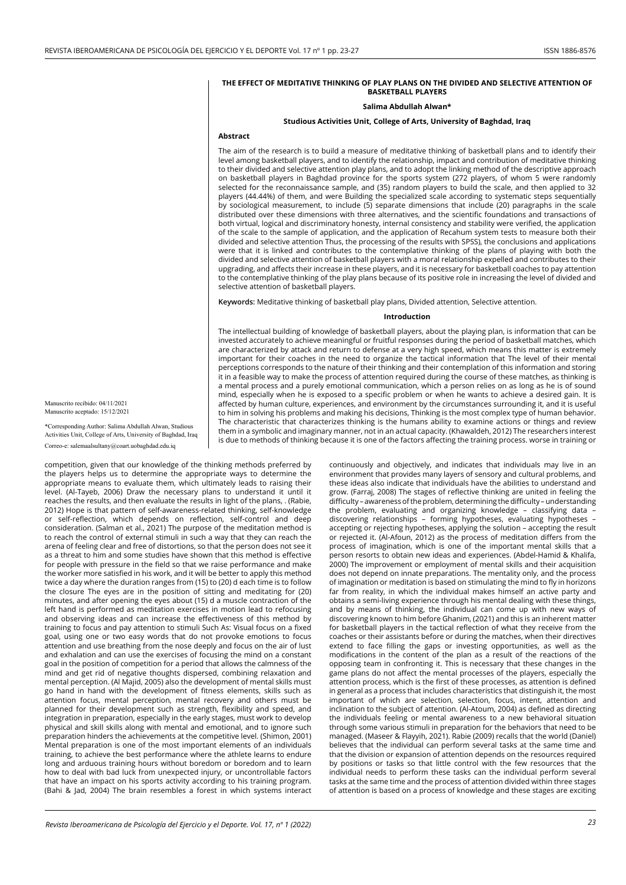#### **THE EFFECT OF MEDITATIVE THINKING OF PLAY PLANS ON THE DIVIDED AND SELECTIVE ATTENTION OF BASKETBALL PLAYERS**

### **Salima Abdullah Alwan\***

## **Studious Activities Unit, College of Arts, University of Baghdad, Iraq**

## **Abstract**

The aim of the research is to build a measure of meditative thinking of basketball plans and to identify their level among basketball players, and to identify the relationship, impact and contribution of meditative thinking to their divided and selective attention play plans, and to adopt the linking method of the descriptive approach on basketball players in Baghdad province for the sports system (272 players, of whom 5 were randomly selected for the reconnaissance sample, and (35) random players to build the scale, and then applied to 32 players (44.44%) of them, and were Building the specialized scale according to systematic steps sequentially by sociological measurement, to include (5) separate dimensions that include (20) paragraphs in the scale distributed over these dimensions with three alternatives, and the scientific foundations and transactions of both virtual, logical and discriminatory honesty, internal consistency and stability were verified, the application of the scale to the sample of application, and the application of Recahum system tests to measure both their divided and selective attention Thus, the processing of the results with SPSS), the conclusions and applications were that it is linked and contributes to the contemplative thinking of the plans of playing with both the divided and selective attention of basketball players with a moral relationship expelled and contributes to their upgrading, and affects their increase in these players, and it is necessary for basketball coaches to pay attention to the contemplative thinking of the play plans because of its positive role in increasing the level of divided and selective attention of basketball players.

**Keywords:** Meditative thinking of basketball play plans, Divided attention, Selective attention.

#### **Introduction**

The intellectual building of knowledge of basketball players, about the playing plan, is information that can be invested accurately to achieve meaningful or fruitful responses during the period of basketball matches, which are characterized by attack and return to defense at a very high speed, which means this matter is extremely important for their coaches in the need to organize the tactical information that The level of their mental perceptions corresponds to the nature of their thinking and their contemplation of this information and storing it in a feasible way to make the process of attention required during the course of these matches, as thinking is a mental process and a purely emotional communication, which a person relies on as long as he is of sound mind, especially when he is exposed to a specific problem or when he wants to achieve a desired gain. It is affected by human culture, experiences, and environment by the circumstances surrounding it, and it is useful to him in solving his problems and making his decisions, Thinking is the most complex type of human behavior. The characteristic that characterizes thinking is the humans ability to examine actions or things and review them in a symbolic and imaginary manner, not in an actual capacity. (Khawaldeh, 2012) The researchers interest is due to methods of thinking because it is one of the factors affecting the training process. worse in training or

Manuscrito recibido: 04/11/2021 Manuscrito aceptado: 15/12/2021

\*Corresponding Author: Salima Abdullah Alwan, Studio Activities Unit, College of Arts, University of Baghdad, Iraq Correo-e: salemaalsultany@coart.uobaghdad.edu.iq

competition, given that our knowledge of the thinking methods preferred by the players helps us to determine the appropriate ways to determine the appropriate means to evaluate them, which ultimately leads to raising their level. (Al-Tayeb, 2006) Draw the necessary plans to understand it until it reaches the results, and then evaluate the results in light of the plans, . (Rabie, 2012) Hope is that pattern of self-awareness-related thinking, self-knowledge or self-reflection, which depends on reflection, self-control and deep consideration. (Salman et al., 2021) The purpose of the meditation method is to reach the control of external stimuli in such a way that they can reach the arena of feeling clear and free of distortions, so that the person does not see it as a threat to him and some studies have shown that this method is effective for people with pressure in the field so that we raise performance and make the worker more satisfied in his work, and it will be better to apply this method twice a day where the duration ranges from (15) to (20) d each time is to follow the closure The eyes are in the position of sitting and meditating for (20) minutes, and after opening the eyes about (15) d a muscle contraction of the left hand is performed as meditation exercises in motion lead to refocusing and observing ideas and can increase the effectiveness of this method by training to focus and pay attention to stimuli Such As: Visual focus on a fixed goal, using one or two easy words that do not provoke emotions to focus attention and use breathing from the nose deeply and focus on the air of lust and exhalation and can use the exercises of focusing the mind on a constant goal in the position of competition for a period that allows the calmness of the mind and get rid of negative thoughts dispersed, combining relaxation and mental perception. (Al Majid, 2005) also the development of mental skills must go hand in hand with the development of fitness elements, skills such as attention focus, mental perception, mental recovery and others must be planned for their development such as strength, flexibility and speed, and integration in preparation, especially in the early stages, must work to develop physical and skill skills along with mental and emotional, and to ignore such preparation hinders the achievements at the competitive level. (Shimon, 2001) Mental preparation is one of the most important elements of an individuals training, to achieve the best performance where the athlete learns to endure long and arduous training hours without boredom or boredom and to learn how to deal with bad luck from unexpected injury, or uncontrollable factors that have an impact on his sports activity according to his training program. (Bahi & Jad, 2004) The brain resembles a forest in which systems interact

continuously and objectively, and indicates that individuals may live in an environment that provides many layers of sensory and cultural problems, and these ideas also indicate that individuals have the abilities to understand and grow. (Farraj, 2008) The stages of reflective thinking are united in feeling the difficulty – awareness of the problem, determining the difficulty – understanding the problem, evaluating and organizing knowledge – classifying data – discovering relationships – forming hypotheses, evaluating hypotheses – accepting or rejecting hypotheses, applying the solution – accepting the result or rejected it. (Al-Afoun, 2012) as the process of meditation differs from the process of imagination, which is one of the important mental skills that a person resorts to obtain new ideas and experiences. (Abdel-Hamid & Khalifa, 2000) The improvement or employment of mental skills and their acquisition does not depend on innate preparations. The mentality only, and the process of imagination or meditation is based on stimulating the mind to fly in horizons far from reality, in which the individual makes himself an active party and obtains a semi-living experience through his mental dealing with these things, and by means of thinking, the individual can come up with new ways of discovering known to him before Ghanim, (2021) and this is an inherent matter for basketball players in the tactical reflection of what they receive from the coaches or their assistants before or during the matches, when their directives extend to face filling the gaps or investing opportunities, as well as the modifications in the content of the plan as a result of the reactions of the opposing team in confronting it. This is necessary that these changes in the game plans do not affect the mental processes of the players, especially the attention process, which is the first of these processes, as attention is defined in general as a process that includes characteristics that distinguish it, the most important of which are selection, selection, focus, intent, attention and inclination to the subject of attention. (Al-Atoum, 2004) as defined as directing the individuals feeling or mental awareness to a new behavioral situation through some various stimuli in preparation for the behaviors that need to be managed. (Maseer & Flayyih, 2021). Rabie (2009) recalls that the world (Daniel) believes that the individual can perform several tasks at the same time and that the division or expansion of attention depends on the resources required by positions or tasks so that little control with the few resources that the individual needs to perform these tasks can the individual perform several tasks at the same time and the process of attention divided within three stages of attention is based on a process of knowledge and these stages are exciting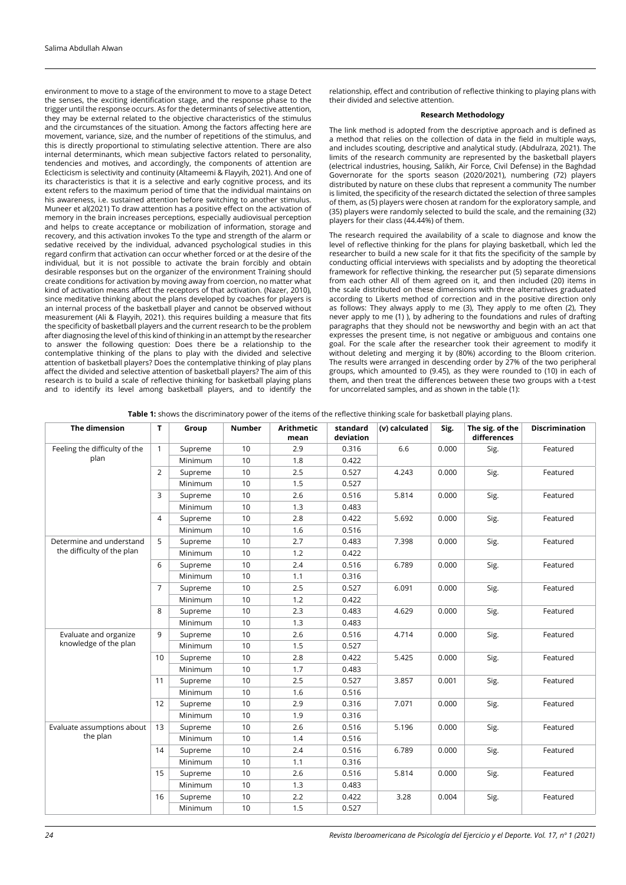environment to move to a stage of the environment to move to a stage Detect the senses, the exciting identification stage, and the response phase to the trigger until the response occurs. As for the determinants of selective attention, they may be external related to the objective characteristics of the stimulus and the circumstances of the situation. Among the factors affecting here are movement, variance, size, and the number of repetitions of the stimulus, and this is directly proportional to stimulating selective attention. There are also internal determinants, which mean subjective factors related to personality, tendencies and motives, and accordingly, the components of attention are Eclecticism is selectivity and continuity (Altameemi & Flayyih, 2021). And one of its characteristics is that it is a selective and early cognitive process, and its extent refers to the maximum period of time that the individual maintains on his awareness, i.e. sustained attention before switching to another stimulus. Muneer et al(2021) To draw attention has a positive effect on the activation of memory in the brain increases perceptions, especially audiovisual perception and helps to create acceptance or mobilization of information, storage and recovery, and this activation invokes To the type and strength of the alarm or sedative received by the individual, advanced psychological studies in this regard confirm that activation can occur whether forced or at the desire of the individual, but it is not possible to activate the brain forcibly and obtain desirable responses but on the organizer of the environment Training should create conditions for activation by moving away from coercion, no matter what kind of activation means affect the receptors of that activation. (Nazer, 2010), since meditative thinking about the plans developed by coaches for players is an internal process of the basketball player and cannot be observed without measurement (Ali & Flayyih, 2021). this requires building a measure that fits the specificity of basketball players and the current research to be the problem after diagnosing the level of this kind of thinking in an attempt by the researcher to answer the following question: Does there be a relationship to the contemplative thinking of the plans to play with the divided and selective attention of basketball players? Does the contemplative thinking of play plans affect the divided and selective attention of basketball players? The aim of this research is to build a scale of reflective thinking for basketball playing plans and to identify its level among basketball players, and to identify the

relationship, effect and contribution of reflective thinking to playing plans with their divided and selective attention.

# **Research Methodology**

The link method is adopted from the descriptive approach and is defined as a method that relies on the collection of data in the field in multiple ways, and includes scouting, descriptive and analytical study. (Abdulraza, 2021). The limits of the research community are represented by the basketball players (electrical industries, housing, Salikh, Air Force, Civil Defense) in the Baghdad Governorate for the sports season (2020/2021), numbering (72) players distributed by nature on these clubs that represent a community The number is limited, the specificity of the research dictated the selection of three samples of them, as (5) players were chosen at random for the exploratory sample, and (35) players were randomly selected to build the scale, and the remaining (32) players for their class (44.44%) of them.

The research required the availability of a scale to diagnose and know the level of reflective thinking for the plans for playing basketball, which led the researcher to build a new scale for it that fits the specificity of the sample by conducting official interviews with specialists and by adopting the theoretical framework for reflective thinking, the researcher put (5) separate dimensions from each other All of them agreed on it, and then included (20) items in the scale distributed on these dimensions with three alternatives graduated according to Likerts method of correction and in the positive direction only as follows: They always apply to me (3), They apply to me often (2), They never apply to me (1) ), by adhering to the foundations and rules of drafting paragraphs that they should not be newsworthy and begin with an act that expresses the present time, is not negative or ambiguous and contains one goal. For the scale after the researcher took their agreement to modify it without deleting and merging it by (80%) according to the Bloom criterion. The results were arranged in descending order by 27% of the two peripheral groups, which amounted to (9.45), as they were rounded to (10) in each of them, and then treat the differences between these two groups with a t-test for uncorrelated samples, and as shown in the table (1):

| Table 1: shows the discriminatory power of the items of the reflective thinking scale for basketball playing plans. |  |
|---------------------------------------------------------------------------------------------------------------------|--|
|                                                                                                                     |  |

| The dimension                 | T.             | Group   | <b>Number</b> | <b>Arithmetic</b><br>mean | standard<br>deviation | (v) calculated | Sig.  | The sig. of the<br>differences | <b>Discrimination</b> |
|-------------------------------|----------------|---------|---------------|---------------------------|-----------------------|----------------|-------|--------------------------------|-----------------------|
| Feeling the difficulty of the | $\mathbf{1}$   | Supreme | 10            | 2.9                       | 0.316                 | 6.6            | 0.000 | Sig.                           | Featured              |
| plan                          |                | Minimum | 10            | 1.8                       | 0.422                 |                |       |                                |                       |
|                               | $\overline{2}$ | Supreme | 10            | 2.5                       | 0.527                 | 4.243          | 0.000 | Sig.                           | Featured              |
|                               |                | Minimum | 10            | 1.5                       | 0.527                 |                |       |                                |                       |
|                               | 3              | Supreme | 10            | 2.6                       | 0.516                 | 5.814          | 0.000 | Sig.                           | Featured              |
|                               |                | Minimum | 10            | 1.3                       | 0.483                 |                |       |                                |                       |
|                               | $\overline{4}$ | Supreme | 10            | 2.8                       | 0.422                 | 5.692          | 0.000 | Sig.                           | Featured              |
|                               |                | Minimum | 10            | 1.6                       | 0.516                 |                |       |                                |                       |
| Determine and understand      | 5              | Supreme | 10            | 2.7                       | 0.483                 | 7.398          | 0.000 | Sig.                           | Featured              |
| the difficulty of the plan    |                | Minimum | 10            | 1.2                       | 0.422                 |                |       |                                |                       |
|                               | 6              | Supreme | 10            | 2.4                       | 0.516                 | 6.789          | 0.000 | Sig.                           | Featured              |
|                               |                | Minimum | 10            | 1.1                       | 0.316                 |                |       |                                |                       |
|                               | $\overline{7}$ | Supreme | 10            | 2.5                       | 0.527                 | 6.091          | 0.000 | Sig.                           | Featured              |
|                               |                | Minimum | 10            | 1.2                       | 0.422                 |                |       |                                |                       |
|                               | 8              | Supreme | 10            | 2.3                       | 0.483                 | 4.629          | 0.000 | Sig.                           | Featured              |
|                               |                | Minimum | 10            | 1.3                       | 0.483                 |                |       |                                |                       |
| Evaluate and organize         | 9              | Supreme | 10            | 2.6                       | 0.516                 | 4.714          | 0.000 | Sig.                           | Featured<br>Featured  |
| knowledge of the plan         |                | Minimum | 10            | 1.5                       | 0.527                 |                |       |                                |                       |
|                               | 10             | Supreme | 10            | 2.8                       | 0.422                 | 5.425          | 0.000 | Sig.                           |                       |
|                               |                | Minimum | 10            | 1.7                       | 0.483                 |                |       |                                |                       |
|                               | 11             | Supreme | 10            | 2.5                       | 0.527                 | 3.857          | 0.001 | Sig.                           | Featured              |
|                               |                | Minimum | 10            | 1.6                       | 0.516                 |                |       |                                |                       |
|                               | 12             | Supreme | 10            | 2.9                       | 0.316                 | 7.071          | 0.000 | Sig.                           | Featured              |
|                               |                | Minimum | 10            | 1.9                       | 0.316                 |                |       |                                |                       |
| Evaluate assumptions about    | 13             | Supreme | 10            | 2.6                       | 0.516                 | 5.196          | 0.000 | Sig.                           | Featured              |
| the plan                      |                | Minimum | 10            | 1.4                       | 0.516                 |                |       |                                |                       |
|                               | 14             | Supreme | 10            | 2.4                       | 0.516                 | 6.789          | 0.000 | Sig.                           | Featured              |
|                               |                | Minimum | 10            | 1.1                       | 0.316                 |                |       |                                |                       |
|                               | 15             | Supreme | 10            | 2.6                       | 0.516                 | 5.814          | 0.000 | Sig.                           | Featured              |
|                               |                | Minimum | 10            | 1.3                       | 0.483                 |                |       |                                |                       |
|                               | 16             | Supreme | 10            | 2.2                       | 0.422                 | 3.28           | 0.004 | Sig.                           | Featured              |
|                               |                | Minimum | 10            | 1.5                       | 0.527                 |                |       |                                |                       |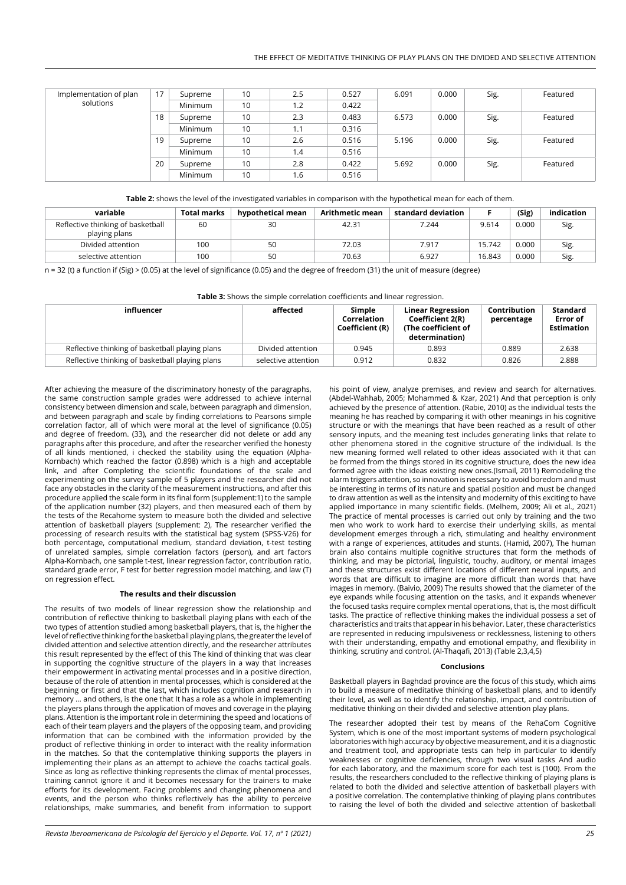| Implementation of plan | 17 | Supreme | 10 | 2.5 | 0.527 | 6.091 | 0.000 | Sig. | Featured |
|------------------------|----|---------|----|-----|-------|-------|-------|------|----------|
| solutions              |    | Minimum | 10 | 1.2 | 0.422 |       |       |      |          |
|                        | 18 | Supreme | 10 | 2.3 | 0.483 | 6.573 | 0.000 | Sig. | Featured |
|                        |    | Minimum | 10 | 1.1 | 0.316 |       |       |      |          |
|                        | 19 | Supreme | 10 | 2.6 | 0.516 | 5.196 | 0.000 | Sig. | Featured |
|                        |    | Minimum | 10 | 1.4 | 0.516 |       |       |      |          |
|                        | 20 | Supreme | 10 | 2.8 | 0.422 | 5.692 | 0.000 | Sig. | Featured |
|                        |    | Minimum | 10 | 1.6 | 0.516 |       |       |      |          |

**Table 2:** shows the level of the investigated variables in comparison with the hypothetical mean for each of them.

| variable                                           | Total marks | hypothetical mean | <b>Arithmetic mean</b> | standard deviation |        | (Sig) | indication |
|----------------------------------------------------|-------------|-------------------|------------------------|--------------------|--------|-------|------------|
| Reflective thinking of basketball<br>playing plans | 60          | 30                | 42.31                  | 7.244              | 9.614  | 0.000 | Sig.       |
| Divided attention                                  | 100         | 50                | 72.03                  | 7.917              | 15.742 | 0.000 | Sig.       |
| selective attention                                | 100         | 50                | 70.63                  | 6.927              | 16.843 | 0.000 | Sig.       |

n = 32 (t) a function if (Sig) > (0.05) at the level of significance (0.05) and the degree of freedom (31) the unit of measure (degree)

**Table 3:** Shows the simple correlation coefficients and linear regression.

| influencer                                      | affected            | Simple<br>Correlation<br>Coefficient (R) | <b>Linear Regression</b><br>Coefficient 2(R)<br>(The coefficient of<br>determination) | <b>Contribution</b><br>percentage | <b>Standard</b><br>Error of<br><b>Estimation</b> |
|-------------------------------------------------|---------------------|------------------------------------------|---------------------------------------------------------------------------------------|-----------------------------------|--------------------------------------------------|
| Reflective thinking of basketball playing plans | Divided attention   | 0.945                                    | 0.893                                                                                 | 0.889                             | 2.638                                            |
| Reflective thinking of basketball playing plans | selective attention | 0.912                                    | 0.832                                                                                 | 0.826                             | 2.888                                            |

After achieving the measure of the discriminatory honesty of the paragraphs, the same construction sample grades were addressed to achieve internal consistency between dimension and scale, between paragraph and dimension, and between paragraph and scale by finding correlations to Pearsons simple correlation factor, all of which were moral at the level of significance (0.05) and degree of freedom. (33), and the researcher did not delete or add any paragraphs after this procedure, and after the researcher verified the honesty of all kinds mentioned, i checked the stability using the equation (Alpha-Kornbach) which reached the factor (0.898) which is a high and acceptable link, and after Completing the scientific foundations of the scale and experimenting on the survey sample of 5 players and the researcher did not face any obstacles in the clarity of the measurement instructions, and after this procedure applied the scale form in its final form (supplement:1) to the sample of the application number (32) players, and then measured each of them by the tests of the Recahome system to measure both the divided and selective attention of basketball players (supplement: 2), The researcher verified the processing of research results with the statistical bag system (SPSS-V26) for both percentage, computational medium, standard deviation, t-test testing of unrelated samples, simple correlation factors (person), and art factors Alpha-Kornbach, one sample t-test, linear regression factor, contribution ratio, standard grade error, F test for better regression model matching, and law (T) on regression effect.

# **The results and their discussion**

The results of two models of linear regression show the relationship and contribution of reflective thinking to basketball playing plans with each of the two types of attention studied among basketball players, that is, the higher the level of reflective thinking for the basketball playing plans, the greater the level of divided attention and selective attention directly, and the researcher attributes this result represented by the effect of this The kind of thinking that was clear in supporting the cognitive structure of the players in a way that increases their empowerment in activating mental processes and in a positive direction, because of the role of attention in mental processes, which is considered at the beginning or first and that the last, which includes cognition and research in memory ... and others, is the one that It has a role as a whole in implementing the players plans through the application of moves and coverage in the playing plans. Attention is the important role in determining the speed and locations of each of their team players and the players of the opposing team, and providing information that can be combined with the information provided by the product of reflective thinking in order to interact with the reality information in the matches. So that the contemplative thinking supports the players in implementing their plans as an attempt to achieve the coachs tactical goals. Since as long as reflective thinking represents the climax of mental processes, training cannot ignore it and it becomes necessary for the trainers to make efforts for its development. Facing problems and changing phenomena and events, and the person who thinks reflectively has the ability to perceive relationships, make summaries, and benefit from information to support

(Abdel-Wahhab, 2005; Mohammed & Kzar, 2021) And that perception is only achieved by the presence of attention. (Rabie, 2010) as the individual tests the meaning he has reached by comparing it with other meanings in his cognitive structure or with the meanings that have been reached as a result of other sensory inputs, and the meaning test includes generating links that relate to other phenomena stored in the cognitive structure of the individual. Is the new meaning formed well related to other ideas associated with it that can be formed from the things stored in its cognitive structure, does the new idea formed agree with the ideas existing new ones.(Ismail, 2011) Remodeling the alarm triggers attention, so innovation is necessary to avoid boredom and must be interesting in terms of its nature and spatial position and must be changed to draw attention as well as the intensity and modernity of this exciting to have applied importance in many scientific fields. (Melhem, 2009; Ali et al., 2021) The practice of mental processes is carried out only by training and the two men who work to work hard to exercise their underlying skills, as mental development emerges through a rich, stimulating and healthy environment with a range of experiences, attitudes and stunts. (Hamid, 2007), The human brain also contains multiple cognitive structures that form the methods of thinking, and may be pictorial, linguistic, touchy, auditory, or mental images and these structures exist different locations of different neural inputs, and words that are difficult to imagine are more difficult than words that have images in memory. (Baivio, 2009) The results showed that the diameter of the eye expands while focusing attention on the tasks, and it expands whenever the focused tasks require complex mental operations, that is, the most difficult tasks. The practice of reflective thinking makes the individual possess a set of characteristics and traits that appear in his behavior. Later, these characteristics are represented in reducing impulsiveness or recklessness, listening to others with their understanding, empathy and emotional empathy, and flexibility in thinking, scrutiny and control. (Al-Thaqafi, 2013) (Table 2,3,4,5)

his point of view, analyze premises, and review and search for alternatives.

### **Conclusions**

Basketball players in Baghdad province are the focus of this study, which aims to build a measure of meditative thinking of basketball plans, and to identify their level, as well as to identify the relationship, impact, and contribution of meditative thinking on their divided and selective attention play plans.

The researcher adopted their test by means of the RehaCom Cognitive System, which is one of the most important systems of modern psychological laboratories with high accuracy by objective measurement, and it is a diagnostic and treatment tool, and appropriate tests can help in particular to identify weaknesses or cognitive deficiencies, through two visual tasks And audio for each laboratory, and the maximum score for each test is (100). From the results, the researchers concluded to the reflective thinking of playing plans is related to both the divided and selective attention of basketball players with a positive correlation. The contemplative thinking of playing plans contributes to raising the level of both the divided and selective attention of basketball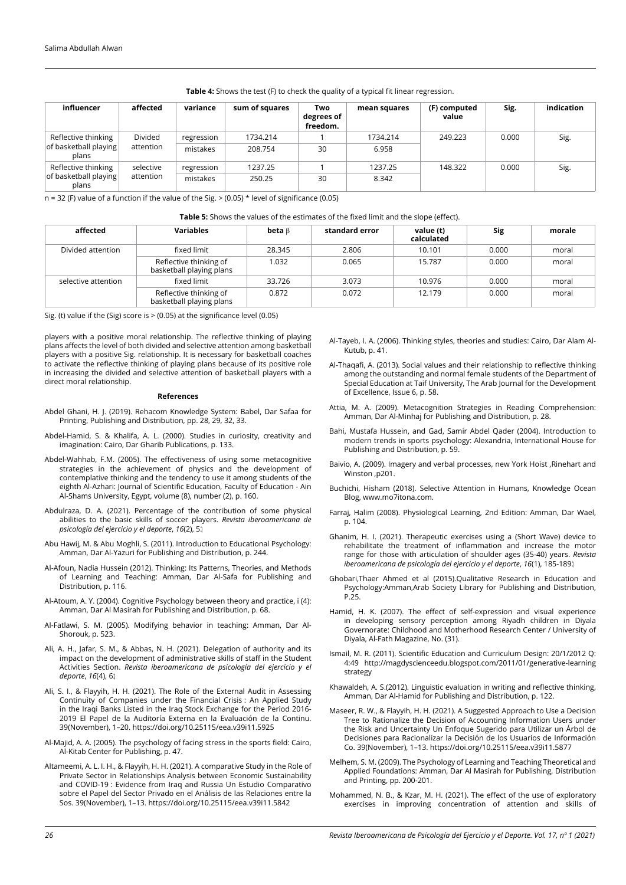| influencer                                            | affected               | variance               | sum of squares      | Two<br>degrees of<br>freedom. | mean squares      | (F) computed<br>value | Sig.  | indication |
|-------------------------------------------------------|------------------------|------------------------|---------------------|-------------------------------|-------------------|-----------------------|-------|------------|
| Reflective thinking<br>of basketball playing<br>plans | Divided<br>attention   | regression<br>mistakes | 1734.214<br>208.754 | 30                            | 1734.214<br>6.958 | 249.223               | 0.000 | Sig.       |
| Reflective thinking<br>of basketball playing<br>plans | selective<br>attention | regression<br>mistakes | 1237.25<br>250.25   | 30                            | 1237.25<br>8.342  | 148.322               | 0.000 | Sig.       |

### **Table 4:** Shows the test (F) to check the quality of a typical fit linear regression.

 $n = 32$  (F) value of a function if the value of the Sig.  $> (0.05) *$  level of significance (0.05)

| Table 5: Shows the values of the estimates of the fixed limit and the slope (effect). |  |
|---------------------------------------------------------------------------------------|--|
|---------------------------------------------------------------------------------------|--|

| affected            | <b>Variables</b>                                   | beta $\beta$ | standard error | value (t)<br>calculated | Sig   | morale |
|---------------------|----------------------------------------------------|--------------|----------------|-------------------------|-------|--------|
| Divided attention   | fixed limit                                        | 28.345       | 2.806          | 10.101                  | 0.000 | moral  |
|                     | Reflective thinking of<br>basketball playing plans | 1.032        | 0.065          | 15.787                  | 0.000 | moral  |
| selective attention | fixed limit                                        | 33.726       | 3.073          | 10.976                  | 0.000 | moral  |
|                     | Reflective thinking of<br>basketball playing plans | 0.872        | 0.072          | 12.179                  | 0.000 | moral  |

Sig. (t) value if the (Sig) score is > (0.05) at the significance level (0.05)

players with a positive moral relationship. The reflective thinking of playing plans affects the level of both divided and selective attention among basketball players with a positive Sig. relationship. It is necessary for basketball coaches to activate the reflective thinking of playing plans because of its positive role in increasing the divided and selective attention of basketball players with a direct moral relationship.

#### **References**

- Abdel Ghani, H. J. (2019). Rehacom Knowledge System: Babel, Dar Safaa for Printing, Publishing and Distribution, pp. 28, 29, 32, 33.
- Abdel-Hamid, S. & Khalifa, A. L. (2000). Studies in curiosity, creativity and imagination: Cairo, Dar Gharib Publications, p. 133.
- Abdel-Wahhab, F.M. (2005). The effectiveness of using some metacognitive strategies in the achievement of physics and the development of contemplative thinking and the tendency to use it among students of the eighth Al-Azhari: Journal of Scientific Education, Faculty of Education - Ain Al-Shams University, Egypt, volume (8), number (2), p. 160.
- Abdulraza, D. A. (2021). Percentage of the contribution of some physical abilities to the basic skills of soccer players. *Revista iberoamericana de psicología del ejercicio y el deporte*, *16*(2), 5.
- Abu Hawij, M. & Abu Moghli, S. (2011). Introduction to Educational Psychology: Amman, Dar Al-Yazuri for Publishing and Distribution, p. 244.
- Al-Afoun, Nadia Hussein (2012). Thinking: Its Patterns, Theories, and Methods of Learning and Teaching: Amman, Dar Al-Safa for Publishing and Distribution, p. 116.
- Al-Atoum, A. Y. (2004). Cognitive Psychology between theory and practice, i (4): Amman, Dar Al Masirah for Publishing and Distribution, p. 68.
- Al-Fatlawi, S. M. (2005). Modifying behavior in teaching: Amman, Dar Al-Shorouk, p. 523.
- Ali, A. H., Jafar, S. M., & Abbas, N. H. (2021). Delegation of authority and its impact on the development of administrative skills of staff in the Student Activities Section. *Revista iberoamericana de psicología del ejercicio y el*  6. ,(4), *16deporte*
- Ali, S. I., & Flayyih, H. H. (2021). The Role of the External Audit in Assessing Continuity of Companies under the Financial Crisis : An Applied Study in the Iraqi Banks Listed in the Iraq Stock Exchange for the Period 2016- 2019 El Papel de la Auditoría Externa en la Evaluación de la Continu. 39(November), 1–20. https://doi.org/10.25115/eea.v39i11.5925
- Al-Majid, A. A. (2005). The psychology of facing stress in the sports field: Cairo, Al-Kitab Center for Publishing, p. 47.
- Altameemi, A. L. I. H., & Flayyih, H. H. (2021). A comparative Study in the Role of Private Sector in Relationships Analysis between Economic Sustainability and COVID-19 : Evidence from Iraq and Russia Un Estudio Comparativo sobre el Papel del Sector Privado en el Análisis de las Relaciones entre la Sos. 39(November), 1–13. https://doi.org/10.25115/eea.v39i11.5842
- Al-Tayeb, I. A. (2006). Thinking styles, theories and studies: Cairo, Dar Alam Al-Kutub, p. 41.
- Al-Thaqafi, A. (2013). Social values and their relationship to reflective thinking among the outstanding and normal female students of the Department of Special Education at Taif University, The Arab Journal for the Development of Excellence, Issue 6, p. 58.
- Attia, M. A. (2009). Metacognition Strategies in Reading Comprehension: Amman, Dar Al-Minhaj for Publishing and Distribution, p. 28.
- Bahi, Mustafa Hussein, and Gad, Samir Abdel Qader (2004). Introduction to modern trends in sports psychology: Alexandria, International House for Publishing and Distribution, p. 59.
- Baivio, A. (2009). Imagery and verbal processes, new York Hoist ,Rinehart and Winston ,p201.
- Buchichi, Hisham (2018). Selective Attention in Humans, Knowledge Ocean Blog, www.mo7itona.com.
- Farraj, Halim (2008). Physiological Learning, 2nd Edition: Amman, Dar Wael, p. 104.
- Ghanim, H. I. (2021). Therapeutic exercises using a (Short Wave) device to rehabilitate the treatment of inflammation and increase the motor range for those with articulation of shoulder ages (35-40) years. *Revista iberoamericana de psicología del ejercicio y el deporte*, *16*(1), 185-189.
- Ghobari,Thaer Ahmed et al (2015).Qualitative Research in Education and Psychology:Amman,Arab Society Library for Publishing and Distribution, P.25.
- Hamid, H. K. (2007). The effect of self-expression and visual experience in developing sensory perception among Riyadh children in Diyala Governorate: Childhood and Motherhood Research Center / University of Diyala, Al-Fath Magazine, No. (31).
- Ismail, M. R. (2011). Scientific Education and Curriculum Design: 20/1/2012 Q: 4:49 http://magdyscienceedu.blogspot.com/2011/01/generative-learning strategy
- Khawaldeh, A. S.(2012). Linguistic evaluation in writing and reflective thinking, Amman, Dar Al-Hamid for Publishing and Distribution, p. 122.
- Maseer, R. W., & Flayyih, H. H. (2021). A Suggested Approach to Use a Decision Tree to Rationalize the Decision of Accounting Information Users under the Risk and Uncertainty Un Enfoque Sugerido para Utilizar un Árbol de Decisiones para Racionalizar la Decisión de los Usuarios de Información Co. 39(November), 1–13. https://doi.org/10.25115/eea.v39i11.5877
- Melhem, S. M. (2009). The Psychology of Learning and Teaching Theoretical and Applied Foundations: Amman, Dar Al Masirah for Publishing, Distribution and Printing, pp. 200-201.
- Mohammed, N. B., & Kzar, M. H. (2021). The effect of the use of exploratory exercises in improving concentration of attention and skills of